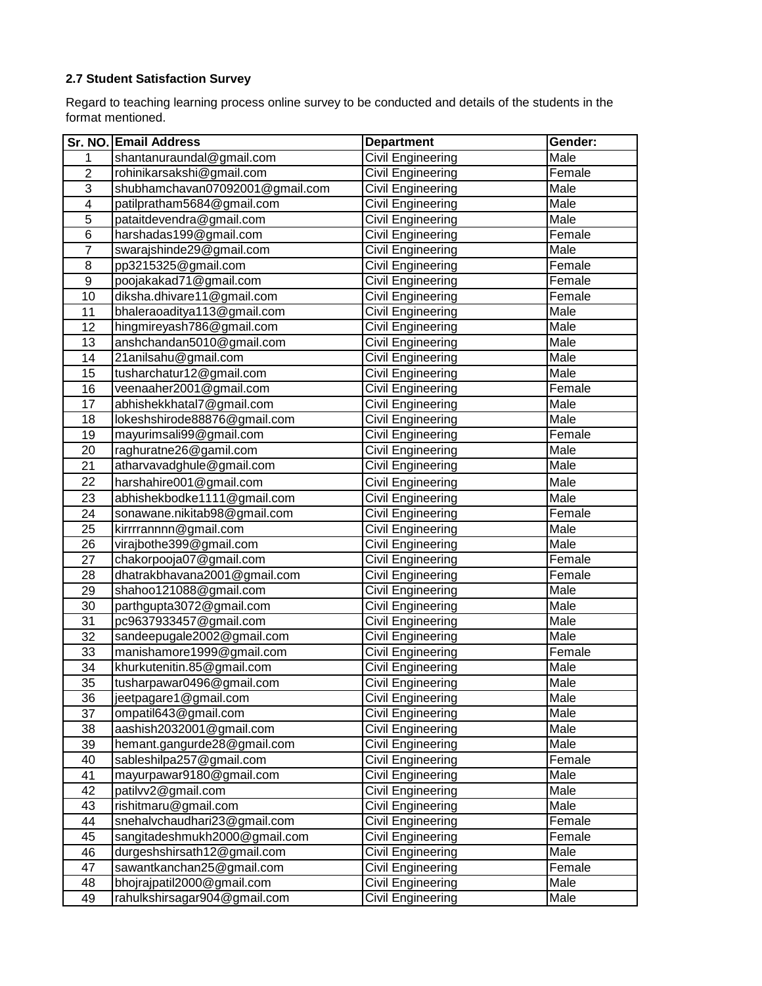## **2.7 Student Satisfaction Survey**

Regard to teaching learning process online survey to be conducted and details of the students in the format mentioned.

|                  | Sr. NO. Email Address           | <b>Department</b> | Gender: |
|------------------|---------------------------------|-------------------|---------|
| 1                | shantanuraundal@gmail.com       | Civil Engineering | Male    |
| $\overline{2}$   | rohinikarsakshi@gmail.com       | Civil Engineering | Female  |
| $\overline{3}$   | shubhamchavan07092001@gmail.com | Civil Engineering | Male    |
| 4                | patilpratham5684@gmail.com      | Civil Engineering | Male    |
| 5                | pataitdevendra@gmail.com        | Civil Engineering | Male    |
| 6                | harshadas199@gmail.com          | Civil Engineering | Female  |
| $\overline{7}$   | swarajshinde29@gmail.com        | Civil Engineering | Male    |
| 8                | pp3215325@gmail.com             | Civil Engineering | Female  |
| $\boldsymbol{9}$ | poojakakad71@gmail.com          | Civil Engineering | Female  |
| 10               | diksha.dhivare11@gmail.com      | Civil Engineering | Female  |
| 11               | bhaleraoaditya113@gmail.com     | Civil Engineering | Male    |
| 12               | hingmireyash786@gmail.com       | Civil Engineering | Male    |
| 13               | anshchandan5010@gmail.com       | Civil Engineering | Male    |
| 14               | 21anilsahu@gmail.com            | Civil Engineering | Male    |
| 15               | tusharchatur12@gmail.com        | Civil Engineering | Male    |
| 16               | veenaaher2001@gmail.com         | Civil Engineering | Female  |
| 17               | abhishekkhatal7@gmail.com       | Civil Engineering | Male    |
| 18               | lokeshshirode88876@gmail.com    | Civil Engineering | Male    |
| 19               | mayurimsali99@gmail.com         | Civil Engineering | Female  |
| 20               | raghuratne26@gamil.com          | Civil Engineering | Male    |
| 21               | atharvavadghule@gmail.com       | Civil Engineering | Male    |
| 22               | harshahire001@gmail.com         | Civil Engineering | Male    |
| 23               | abhishekbodke1111@gmail.com     | Civil Engineering | Male    |
| 24               | sonawane.nikitab98@gmail.com    | Civil Engineering | Female  |
| 25               | kirrrrannnn@gmail.com           | Civil Engineering | Male    |
| 26               | virajbothe399@gmail.com         | Civil Engineering | Male    |
| 27               | chakorpooja07@gmail.com         | Civil Engineering | Female  |
| 28               | dhatrakbhavana2001@gmail.com    | Civil Engineering | Female  |
| 29               | shahoo121088@gmail.com          | Civil Engineering | Male    |
| 30               | parthgupta3072@gmail.com        | Civil Engineering | Male    |
| 31               | pc9637933457@gmail.com          | Civil Engineering | Male    |
| 32               | sandeepugale2002@gmail.com      | Civil Engineering | Male    |
| 33               | manishamore1999@gmail.com       | Civil Engineering | Female  |
| 34               | khurkutenitin.85@gmail.com      | Civil Engineering | Male    |
| 35               | tusharpawar0496@gmail.com       | Civil Engineering | Male    |
| 36               | jeetpagare1@gmail.com           | Civil Engineering | Male    |
| 37               | ompatil643@gmail.com            | Civil Engineering | Male    |
| 38               | aashish2032001@gmail.com        | Civil Engineering | Male    |
| 39               | hemant.gangurde28@gmail.com     | Civil Engineering | Male    |
| 40               | sableshilpa257@gmail.com        | Civil Engineering | Female  |
| 41               | mayurpawar9180@gmail.com        | Civil Engineering | Male    |
| 42               | patilvv2@gmail.com              | Civil Engineering | Male    |
| 43               | rishitmaru@gmail.com            | Civil Engineering | Male    |
| 44               | snehalvchaudhari23@gmail.com    | Civil Engineering | Female  |
| 45               | sangitadeshmukh2000@gmail.com   | Civil Engineering | Female  |
| 46               | durgeshshirsath12@gmail.com     | Civil Engineering | Male    |
| 47               | sawantkanchan25@gmail.com       | Civil Engineering | Female  |
| 48               | bhojrajpatil2000@gmail.com      | Civil Engineering | Male    |
| 49               | rahulkshirsagar904@gmail.com    | Civil Engineering | Male    |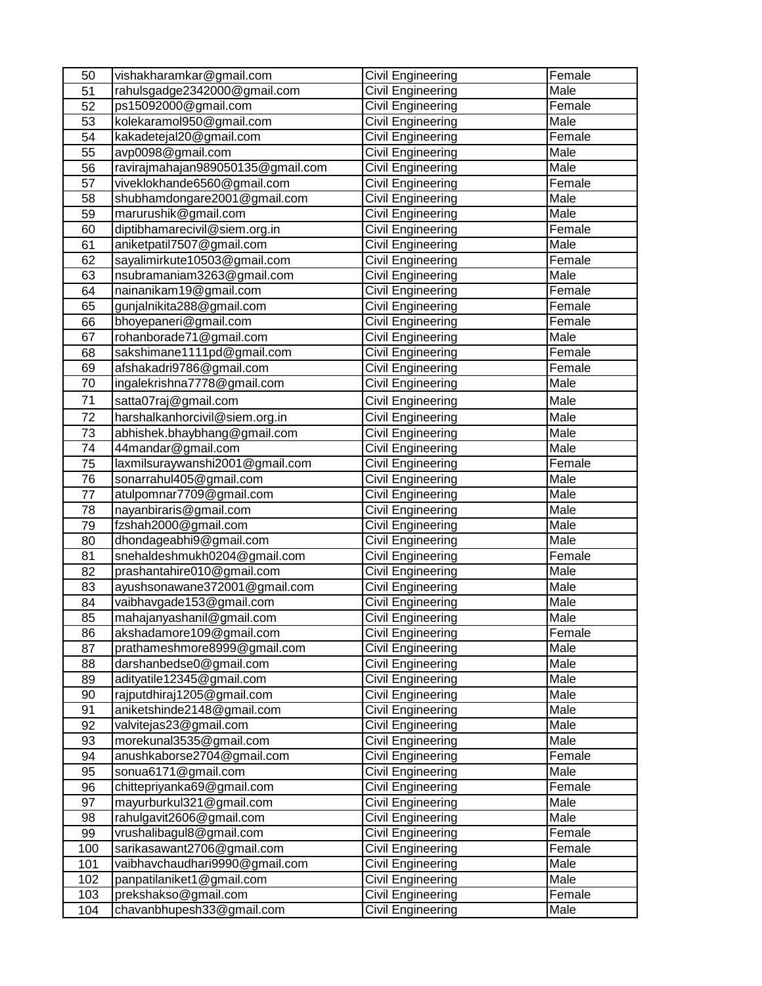| 50              | vishakharamkar@gmail.com          | <b>Civil Engineering</b> | Female |
|-----------------|-----------------------------------|--------------------------|--------|
| 51              | rahulsgadge2342000@gmail.com      | Civil Engineering        | Male   |
| 52              | ps15092000@gmail.com              | <b>Civil Engineering</b> | Female |
| 53              | kolekaramol950@gmail.com          | Civil Engineering        | Male   |
| 54              | kakadetejal20@gmail.com           | Civil Engineering        | Female |
| 55              | avp0098@gmail.com                 | Civil Engineering        | Male   |
| 56              | ravirajmahajan989050135@gmail.com | Civil Engineering        | Male   |
| 57              | viveklokhande6560@gmail.com       | Civil Engineering        | Female |
| 58              | shubhamdongare2001@gmail.com      | Civil Engineering        | Male   |
| 59              | marurushik@gmail.com              | Civil Engineering        | Male   |
| 60              | diptibhamarecivil@siem.org.in     | Civil Engineering        | Female |
| 61              | aniketpatil7507@gmail.com         | <b>Civil Engineering</b> | Male   |
| 62              | sayalimirkute10503@gmail.com      | <b>Civil Engineering</b> | Female |
| 63              | nsubramaniam3263@gmail.com        | <b>Civil Engineering</b> | Male   |
| 64              | nainanikam19@gmail.com            | <b>Civil Engineering</b> | Female |
| 65              | gunjalnikita288@gmail.com         | Civil Engineering        | Female |
| 66              | bhoyepaneri@gmail.com             | Civil Engineering        | Female |
| 67              | rohanborade71@gmail.com           | <b>Civil Engineering</b> | Male   |
| 68              | sakshimane1111pd@gmail.com        | Civil Engineering        | Female |
| 69              | afshakadri9786@gmail.com          | <b>Civil Engineering</b> | Female |
| 70              | ingalekrishna7778@gmail.com       | Civil Engineering        | Male   |
| 71              | satta07raj@gmail.com              | Civil Engineering        | Male   |
| 72              | harshalkanhorcivil@siem.org.in    | <b>Civil Engineering</b> | Male   |
| $\overline{73}$ | abhishek.bhaybhang@gmail.com      | <b>Civil Engineering</b> | Male   |
| 74              | 44mandar@gmail.com                | Civil Engineering        | Male   |
| 75              | laxmilsuraywanshi2001@gmail.com   | Civil Engineering        | Female |
| 76              | sonarrahul405@gmail.com           | <b>Civil Engineering</b> | Male   |
| 77              | atulpomnar7709@gmail.com          | <b>Civil Engineering</b> | Male   |
| 78              | nayanbiraris@gmail.com            | <b>Civil Engineering</b> | Male   |
| 79              | fzshah2000@gmail.com              | Civil Engineering        | Male   |
| 80              | dhondageabhi9@gmail.com           | Civil Engineering        | Male   |
| 81              | snehaldeshmukh0204@gmail.com      | Civil Engineering        | Female |
| 82              | prashantahire010@gmail.com        | Civil Engineering        | Male   |
| 83              | ayushsonawane372001@gmail.com     | Civil Engineering        | Male   |
| 84              | vaibhavgade153@gmail.com          | Civil Engineering        | Male   |
| 85              | mahajanyashanil@gmail.com         | Civil Engineering        | Male   |
| 86              | akshadamore109@gmail.com          | Civil Engineering        | Female |
| 87              | prathameshmore8999@gmail.com      | <b>Civil Engineering</b> | Male   |
| 88              | darshanbedse0@gmail.com           | Civil Engineering        | Male   |
| 89              | adityatile12345@gmail.com         | Civil Engineering        | Male   |
| 90              | rajputdhiraj1205@gmail.com        | Civil Engineering        | Male   |
| 91              | aniketshinde2148@gmail.com        | Civil Engineering        | Male   |
| 92              | valvitejas23@gmail.com            | <b>Civil Engineering</b> | Male   |
| 93              | morekunal3535@gmail.com           | <b>Civil Engineering</b> | Male   |
| 94              | anushkaborse2704@gmail.com        | <b>Civil Engineering</b> | Female |
| 95              | sonua6171@gmail.com               | <b>Civil Engineering</b> | Male   |
| 96              | chittepriyanka69@gmail.com        | <b>Civil Engineering</b> | Female |
| 97              | mayurburkul321@gmail.com          | Civil Engineering        | Male   |
| 98              | rahulgavit2606@gmail.com          | Civil Engineering        | Male   |
| 99              | vrushalibagul8@gmail.com          | <b>Civil Engineering</b> | Female |
| 100             | sarikasawant2706@gmail.com        | Civil Engineering        | Female |
| 101             | vaibhavchaudhari9990@gmail.com    | Civil Engineering        | Male   |
| 102             | panpatilaniket1@gmail.com         | Civil Engineering        | Male   |
| 103             | prekshakso@gmail.com              | <b>Civil Engineering</b> | Female |
| 104             | chavanbhupesh33@gmail.com         | Civil Engineering        | Male   |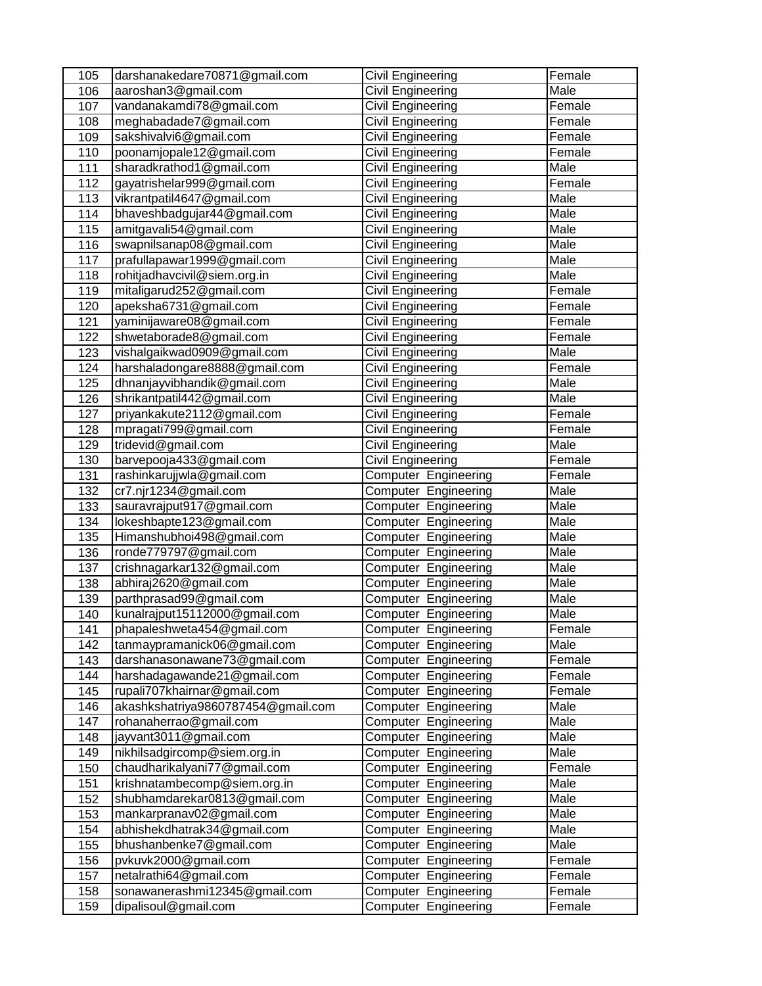| 105 | darshanakedare70871@gmail.com      | Civil Engineering           | Female |
|-----|------------------------------------|-----------------------------|--------|
| 106 | aaroshan3@gmail.com                | Civil Engineering           | Male   |
| 107 | vandanakamdi78@gmail.com           | Civil Engineering           | Female |
| 108 | meghabadade7@gmail.com             | Civil Engineering           | Female |
| 109 | sakshivalvi6@gmail.com             | Civil Engineering           | Female |
| 110 | poonamjopale12@gmail.com           | Civil Engineering           | Female |
| 111 | sharadkrathod1@gmail.com           | Civil Engineering           | Male   |
| 112 | gayatrishelar999@gmail.com         | Civil Engineering           | Female |
| 113 | vikrantpatil4647@gmail.com         | Civil Engineering           | Male   |
| 114 | bhaveshbadgujar44@gmail.com        | Civil Engineering           | Male   |
| 115 | amitgavali54@gmail.com             | Civil Engineering           | Male   |
| 116 | swapnilsanap08@gmail.com           | Civil Engineering           | Male   |
| 117 | prafullapawar1999@gmail.com        | Civil Engineering           | Male   |
| 118 | rohitjadhavcivil@siem.org.in       | Civil Engineering           | Male   |
| 119 | mitaligarud252@gmail.com           | Civil Engineering           | Female |
| 120 | apeksha6731@gmail.com              | Civil Engineering           | Female |
| 121 | yaminijaware08@gmail.com           | Civil Engineering           | Female |
| 122 | shwetaborade8@gmail.com            | Civil Engineering           | Female |
| 123 | vishalgaikwad0909@gmail.com        | Civil Engineering           | Male   |
| 124 | harshaladongare8888@gmail.com      | Civil Engineering           | Female |
| 125 | dhnanjayvibhandik@gmail.com        | Civil Engineering           | Male   |
| 126 | shrikantpatil442@gmail.com         | Civil Engineering           | Male   |
| 127 | priyankakute2112@gmail.com         | Civil Engineering           | Female |
| 128 | mpragati799@gmail.com              | Civil Engineering           | Female |
| 129 | tridevid@gmail.com                 | Civil Engineering           | Male   |
| 130 | barvepooja433@gmail.com            | <b>Civil Engineering</b>    | Female |
| 131 | rashinkarujjwla@gmail.com          | Computer Engineering        | Female |
| 132 | cr7.njr1234@gmail.com              | Computer Engineering        | Male   |
| 133 | sauravrajput917@gmail.com          | Computer Engineering        | Male   |
| 134 | lokeshbapte123@gmail.com           | Computer Engineering        | Male   |
| 135 | Himanshubhoi498@gmail.com          | Computer Engineering        | Male   |
| 136 | ronde779797@gmail.com              | <b>Computer Engineering</b> | Male   |
| 137 | crishnagarkar132@gmail.com         | Computer Engineering        | Male   |
| 138 | abhiraj2620@gmail.com              | Computer Engineering        | Male   |
| 139 | parthprasad99@gmail.com            | Computer Engineering        | Male   |
| 140 | kunalrajput15112000@gmail.com      | Computer Engineering        | Male   |
| 141 | phapaleshweta454@gmail.com         | Computer Engineering        | Female |
| 142 | tanmaypramanick06@gmail.com        | Computer Engineering        | Male   |
| 143 | darshanasonawane73@gmail.com       | Computer Engineering        | Female |
| 144 | harshadagawande21@gmail.com        | Computer Engineering        | Female |
| 145 | rupali707khairnar@gmail.com        | Computer Engineering        | Female |
| 146 | akashkshatriya9860787454@gmail.com | Computer Engineering        | Male   |
| 147 | rohanaherrao@gmail.com             | Computer Engineering        | Male   |
| 148 | jayvant3011@gmail.com              | Computer Engineering        | Male   |
| 149 | nikhilsadgircomp@siem.org.in       | Computer Engineering        | Male   |
| 150 | chaudharikalyani77@gmail.com       | Computer Engineering        | Female |
| 151 | krishnatambecomp@siem.org.in       | Computer Engineering        | Male   |
| 152 | shubhamdarekar0813@gmail.com       | Computer Engineering        | Male   |
| 153 | mankarpranav02@gmail.com           | Computer Engineering        | Male   |
| 154 | abhishekdhatrak34@gmail.com        | Computer Engineering        | Male   |
| 155 | bhushanbenke7@gmail.com            | Computer Engineering        | Male   |
| 156 | pvkuvk2000@gmail.com               | Computer Engineering        | Female |
| 157 | netalrathi64@gmail.com             | Computer Engineering        | Female |
| 158 | sonawanerashmi12345@gmail.com      | Computer Engineering        | Female |
| 159 | dipalisoul@gmail.com               | Computer Engineering        | Female |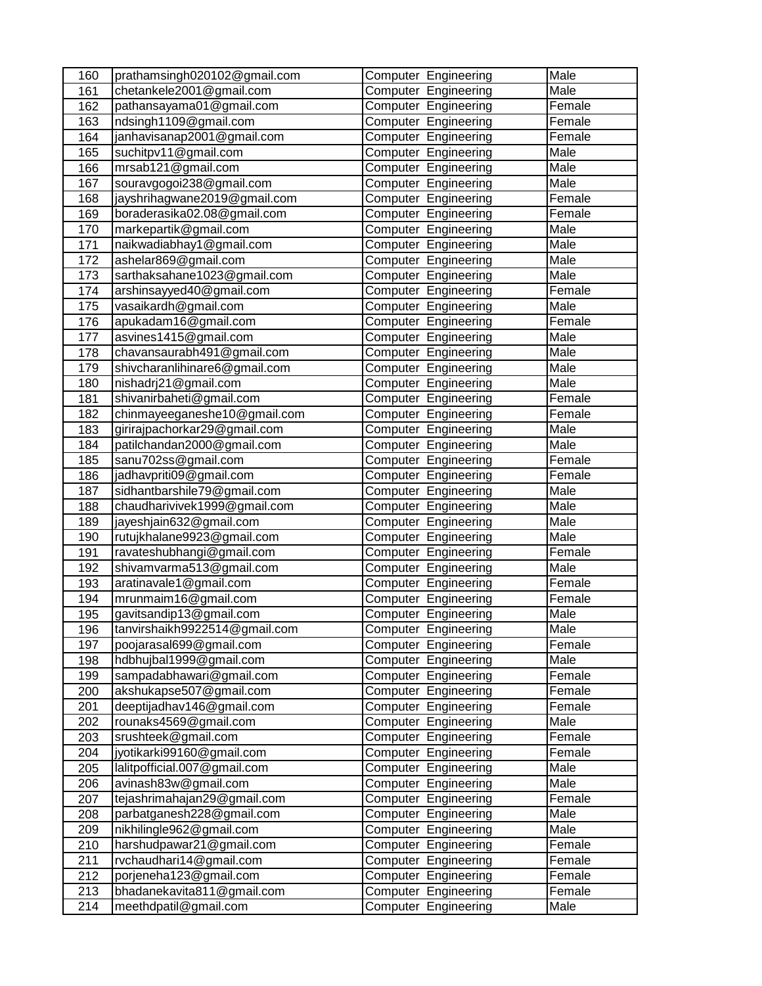| 160        | prathamsingh020102@gmail.com                             | <b>Computer Engineering</b>                  | Male           |
|------------|----------------------------------------------------------|----------------------------------------------|----------------|
| 161        | chetankele2001@gmail.com                                 | Computer Engineering                         | Male           |
| 162        | pathansayama01@gmail.com                                 | Computer Engineering                         | Female         |
| 163        | ndsingh1109@gmail.com                                    | Computer Engineering                         | Female         |
| 164        | janhavisanap2001@gmail.com                               | Computer Engineering                         | Female         |
| 165        | suchitpv11@gmail.com                                     | Computer Engineering                         | <b>Male</b>    |
| 166        | mrsab121@gmail.com                                       | Computer Engineering                         | Male           |
| 167        | souravgogoi238@gmail.com                                 | Computer Engineering                         | Male           |
| 168        | jayshrihagwane2019@gmail.com                             | Computer Engineering                         | Female         |
| 169        | boraderasika02.08@gmail.com                              | Computer Engineering                         | Female         |
| 170        | markepartik@gmail.com                                    | Computer Engineering                         | Male           |
| 171        | naikwadiabhay1@gmail.com                                 | Computer Engineering                         | Male           |
| 172        | ashelar869@gmail.com                                     | Computer Engineering                         | Male           |
| 173        | sarthaksahane1023@gmail.com                              | Computer Engineering                         | Male           |
| 174        | arshinsayyed40@gmail.com                                 | Computer Engineering                         | Female         |
| 175        | vasaikardh@gmail.com                                     | Computer Engineering                         | Male           |
| 176        | apukadam16@gmail.com                                     | <b>Computer Engineering</b>                  | Female         |
| 177        | asvines1415@gmail.com                                    | <b>Computer Engineering</b>                  | Male           |
| 178        | chavansaurabh491@gmail.com                               | Computer Engineering                         | Male           |
| 179        | shivcharanlihinare6@gmail.com                            | Computer Engineering                         | Male           |
| 180        | nishadrj21@gmail.com                                     | Computer Engineering                         | Male           |
| 181        | shivanirbaheti@gmail.com                                 | Computer Engineering                         | Female         |
| 182        | chinmayeeganeshe10@gmail.com                             | Computer Engineering                         | Female         |
| 183        | girirajpachorkar29@gmail.com                             | Computer Engineering                         | Male           |
| 184        | patilchandan2000@gmail.com                               | <b>Computer Engineering</b>                  | Male           |
| 185        | sanu702ss@gmail.com                                      | Computer Engineering                         | Female         |
| 186        | jadhavpriti09@gmail.com                                  | Computer Engineering                         | Female         |
| 187        | sidhantbarshile79@gmail.com                              | Computer Engineering                         | Male           |
| 188        | chaudharivivek1999@gmail.com                             | Computer Engineering                         | Male           |
| 189        | jayeshjain632@gmail.com                                  | Computer Engineering                         | Male           |
| 190        | rutujkhalane9923@gmail.com                               | Computer Engineering                         | Male           |
| 191        | ravateshubhangi@gmail.com                                | <b>Computer Engineering</b>                  | Female         |
| 192        | shivamvarma513@gmail.com                                 | Computer Engineering                         | Male           |
| 193        | aratinavale1@gmail.com                                   | <b>Computer Engineering</b>                  | Female         |
| 194        | mrunmaim16@gmail.com                                     | Computer Engineering                         | Female<br>Male |
| 195<br>196 | gavitsandip13@gmail.com<br>tanvirshaikh9922514@gmail.com | Computer Engineering<br>Computer Engineering | Male           |
|            |                                                          | Computer Engineering                         | Female         |
| 197<br>198 | poojarasal699@gmail.com<br>hdbhujbal1999@gmail.com       | Computer Engineering                         | Male           |
| 199        | sampadabhawari@gmail.com                                 | Computer Engineering                         | Female         |
| 200        | akshukapse507@gmail.com                                  | Computer Engineering                         | Female         |
| 201        | deeptijadhav146@gmail.com                                | Computer Engineering                         | Female         |
| 202        | rounaks4569@gmail.com                                    | Computer Engineering                         | Male           |
| 203        | srushteek@gmail.com                                      | Computer Engineering                         | Female         |
| 204        | jyotikarki99160@gmail.com                                | Computer Engineering                         | Female         |
| 205        | lalitpofficial.007@gmail.com                             | Computer Engineering                         | Male           |
| 206        | avinash83w@gmail.com                                     | Computer Engineering                         | Male           |
| 207        | tejashrimahajan29@gmail.com                              | Computer Engineering                         | Female         |
| 208        | parbatganesh228@gmail.com                                | Computer Engineering                         | Male           |
| 209        | nikhilingle962@gmail.com                                 | Computer Engineering                         | Male           |
| 210        | harshudpawar21@gmail.com                                 | Computer Engineering                         | Female         |
| 211        | rvchaudhari14@gmail.com                                  | Computer Engineering                         | Female         |
| 212        | porjeneha123@gmail.com                                   | Computer Engineering                         | Female         |
| 213        | bhadanekavita811@gmail.com                               | Computer Engineering                         | Female         |
| 214        | meethdpatil@gmail.com                                    | Computer Engineering                         | Male           |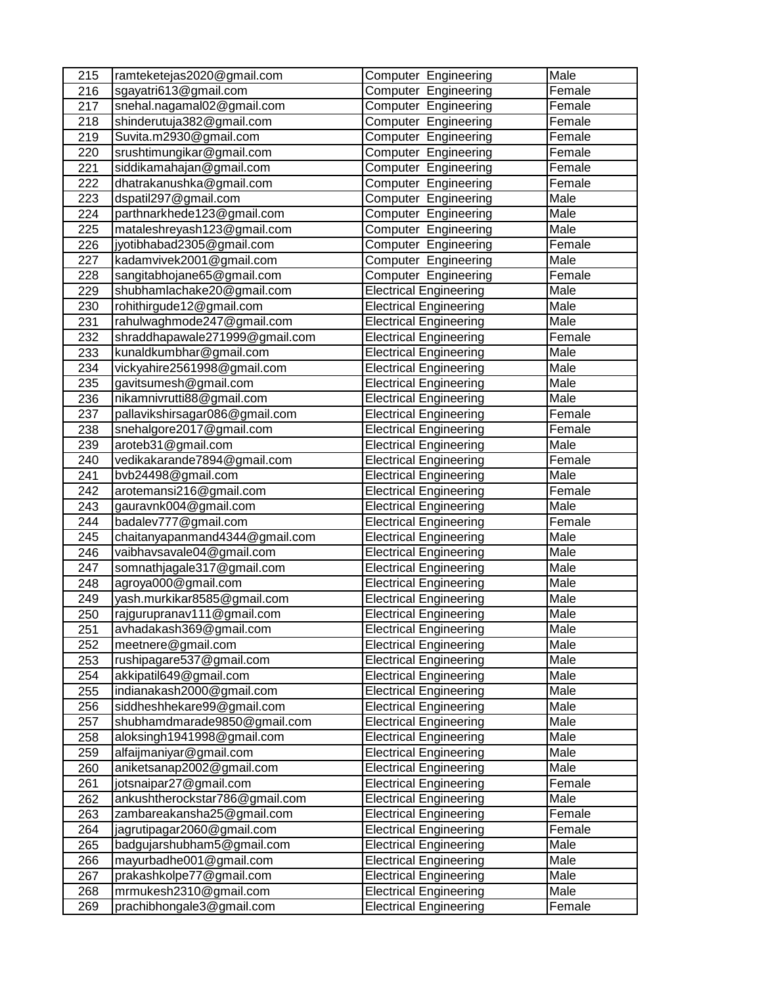| 215              | ramteketejas2020@gmail.com     | <b>Computer Engineering</b>   | Male        |
|------------------|--------------------------------|-------------------------------|-------------|
| 216              | sgayatri613@gmail.com          | <b>Computer Engineering</b>   | Female      |
| 217              | snehal.nagamal02@gmail.com     | <b>Computer Engineering</b>   | Female      |
| 218              | shinderutuja382@gmail.com      | Computer Engineering          | Female      |
| 219              | Suvita.m2930@gmail.com         | Computer Engineering          | Female      |
| 220              | srushtimungikar@gmail.com      | Computer Engineering          | Female      |
| 221              | siddikamahajan@gmail.com       | Computer Engineering          | Female      |
| 222              | dhatrakanushka@gmail.com       | Computer Engineering          | Female      |
| 223              | dspatil297@gmail.com           | Computer Engineering          | <b>Male</b> |
| 224              | parthnarkhede123@gmail.com     | Computer Engineering          | Male        |
| 225              | mataleshreyash123@gmail.com    | Computer Engineering          | Male        |
| 226              | jyotibhabad2305@gmail.com      | Computer Engineering          | Female      |
| 227              | kadamvivek2001@gmail.com       | Computer Engineering          | Male        |
| 228              | sangitabhojane65@gmail.com     | Computer Engineering          | Female      |
| 229              | shubhamlachake20@gmail.com     | <b>Electrical Engineering</b> | Male        |
| 230              | rohithirgude12@gmail.com       | <b>Electrical Engineering</b> | Male        |
| 231              | rahulwaghmode247@gmail.com     | <b>Electrical Engineering</b> | Male        |
| 232              | shraddhapawale271999@gmail.com | <b>Electrical Engineering</b> | Female      |
| 233              | kunaldkumbhar@gmail.com        | <b>Electrical Engineering</b> | Male        |
| 234              | vickyahire2561998@gmail.com    | <b>Electrical Engineering</b> | Male        |
| 235              | gavitsumesh@gmail.com          | <b>Electrical Engineering</b> | Male        |
| 236              | nikamnivrutti88@gmail.com      | <b>Electrical Engineering</b> | Male        |
| 237              | pallavikshirsagar086@gmail.com | <b>Electrical Engineering</b> | Female      |
| 238              | snehalgore2017@gmail.com       | <b>Electrical Engineering</b> | Female      |
| 239              | aroteb31@gmail.com             | <b>Electrical Engineering</b> | Male        |
| 240              | vedikakarande7894@gmail.com    | <b>Electrical Engineering</b> | Female      |
| 241              | bvb24498@gmail.com             | <b>Electrical Engineering</b> | Male        |
| 242              | arotemansi216@gmail.com        | <b>Electrical Engineering</b> | Female      |
| 243              | gauravnk004@gmail.com          | <b>Electrical Engineering</b> | Male        |
| 244              | badalev777@gmail.com           | <b>Electrical Engineering</b> | Female      |
| 245              | chaitanyapanmand4344@gmail.com | <b>Electrical Engineering</b> | Male        |
| 246              | vaibhavsavale04@gmail.com      | <b>Electrical Engineering</b> | Male        |
| 247              | somnathjagale317@gmail.com     | <b>Electrical Engineering</b> | Male        |
| 248              | agroya000@gmail.com            | <b>Electrical Engineering</b> | Male        |
| 249              | yash.murkikar8585@gmail.com    | <b>Electrical Engineering</b> | Male        |
| 250              | rajgurupranav111@gmail.com     | <b>Electrical Engineering</b> | Male        |
| $\overline{251}$ | avhadakash369@gmail.com        | <b>Electrical Engineering</b> | Male        |
| 252              | meetnere@gmail.com             | <b>Electrical Engineering</b> | Male        |
| 253              | rushipagare537@gmail.com       | <b>Electrical Engineering</b> | Male        |
| 254              | akkipatil649@gmail.com         | <b>Electrical Engineering</b> | Male        |
| 255              | indianakash2000@gmail.com      | <b>Electrical Engineering</b> | Male        |
| 256              | siddheshhekare99@gmail.com     | <b>Electrical Engineering</b> | Male        |
| 257              | shubhamdmarade9850@gmail.com   | <b>Electrical Engineering</b> | Male        |
| 258              | aloksingh1941998@gmail.com     | <b>Electrical Engineering</b> | Male        |
| 259              | alfaijmaniyar@gmail.com        | <b>Electrical Engineering</b> | Male        |
| 260              | aniketsanap2002@gmail.com      | <b>Electrical Engineering</b> | Male        |
| 261              | jotsnaipar27@gmail.com         | <b>Electrical Engineering</b> | Female      |
| 262              | ankushtherockstar786@gmail.com | <b>Electrical Engineering</b> | Male        |
| 263              | zambareakansha25@gmail.com     | <b>Electrical Engineering</b> | Female      |
| 264              | jagrutipagar2060@gmail.com     | <b>Electrical Engineering</b> | Female      |
| 265              | badgujarshubham5@gmail.com     | <b>Electrical Engineering</b> | Male        |
| 266              | mayurbadhe001@gmail.com        | <b>Electrical Engineering</b> | Male        |
| 267              | prakashkolpe77@gmail.com       | <b>Electrical Engineering</b> | Male        |
| 268              | mrmukesh2310@gmail.com         | <b>Electrical Engineering</b> | Male        |
| 269              | prachibhongale3@gmail.com      | <b>Electrical Engineering</b> | Female      |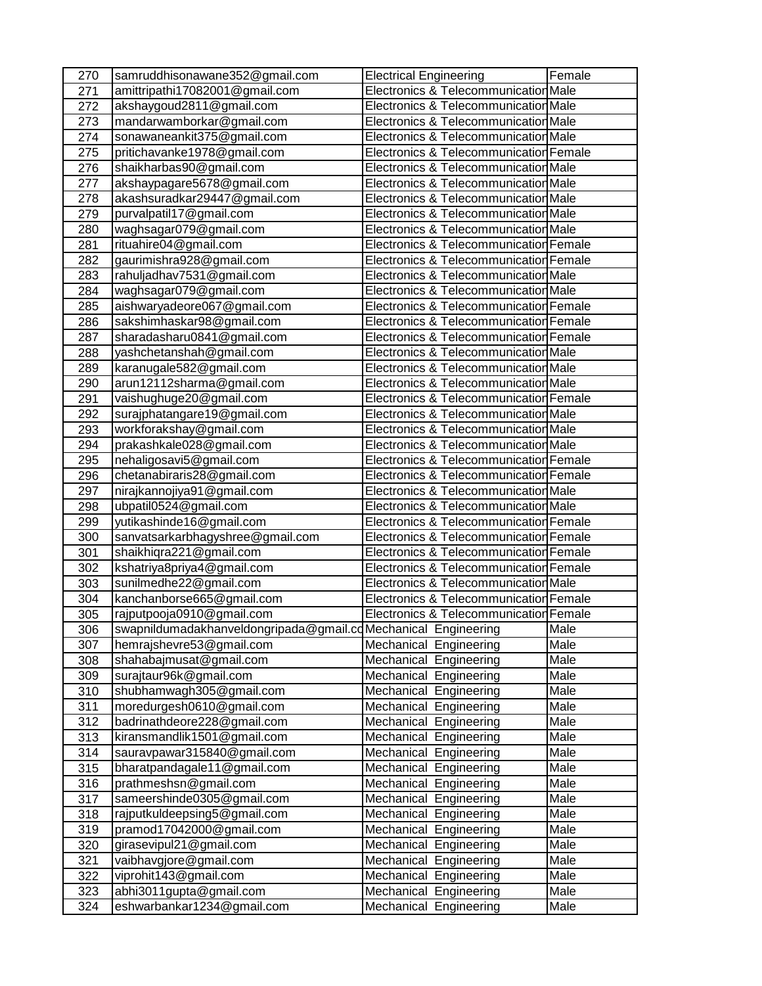| 270        | samruddhisonawane352@gmail.com                                | <b>Electrical Engineering</b>                    | Female       |
|------------|---------------------------------------------------------------|--------------------------------------------------|--------------|
| 271        | amittripathi17082001@gmail.com                                | Electronics & Telecommunication Male             |              |
| 272        | akshaygoud2811@gmail.com                                      | Electronics & Telecommunication Male             |              |
| 273        | mandarwamborkar@gmail.com                                     | Electronics & Telecommunication Male             |              |
| 274        | sonawaneankit375@gmail.com                                    | Electronics & Telecommunication Male             |              |
| 275        | pritichavanke1978@gmail.com                                   | Electronics & Telecommunication Female           |              |
| 276        | shaikharbas90@gmail.com                                       | Electronics & Telecommunication Male             |              |
| 277        | akshaypagare5678@gmail.com                                    | Electronics & Telecommunication Male             |              |
| 278        | akashsuradkar29447@gmail.com                                  | Electronics & Telecommunication Male             |              |
| 279        | purvalpatil17@gmail.com                                       | Electronics & Telecommunication Male             |              |
| 280        | waghsagar079@gmail.com                                        | Electronics & Telecommunication Male             |              |
| 281        | rituahire04@gmail.com                                         | Electronics & Telecommunication Female           |              |
| 282        | gaurimishra928@gmail.com                                      | Electronics & Telecommunication Female           |              |
| 283        | rahuljadhav7531@gmail.com                                     | Electronics & Telecommunication Male             |              |
| 284        | waghsagar079@gmail.com                                        | Electronics & Telecommunication Male             |              |
| 285        | aishwaryadeore067@gmail.com                                   | Electronics & Telecommunication Female           |              |
| 286        | sakshimhaskar98@gmail.com                                     | Electronics & Telecommunication Female           |              |
| 287        | sharadasharu0841@gmail.com                                    | Electronics & Telecommunication Female           |              |
| 288        | yashchetanshah@gmail.com                                      | Electronics & Telecommunication Male             |              |
| 289        | karanugale582@gmail.com                                       | Electronics & Telecommunication Male             |              |
| 290        | arun12112sharma@gmail.com                                     | Electronics & Telecommunication Male             |              |
| 291        | vaishughuge20@gmail.com                                       | Electronics & Telecommunication Female           |              |
| 292        | surajphatangare19@gmail.com                                   | Electronics & Telecommunication Male             |              |
| 293        | workforakshay@gmail.com                                       | Electronics & Telecommunication Male             |              |
| 294        | prakashkale028@gmail.com                                      | Electronics & Telecommunication Male             |              |
| 295        | nehaligosavi5@gmail.com                                       | Electronics & Telecommunication Female           |              |
| 296        | chetanabiraris28@gmail.com                                    | Electronics & Telecommunication Female           |              |
| 297        | nirajkannojiya91@gmail.com                                    | Electronics & Telecommunication Male             |              |
| 298        | ubpatil0524@gmail.com                                         | Electronics & Telecommunication Male             |              |
| 299        | yutikashinde16@gmail.com                                      | Electronics & Telecommunication Female           |              |
| 300        | sanvatsarkarbhagyshree@gmail.com                              | Electronics & Telecommunication Female           |              |
| 301        | shaikhiqra221@gmail.com                                       | Electronics & Telecommunication Female           |              |
| 302        | kshatriya8priya4@gmail.com                                    | Electronics & Telecommunication Female           |              |
| 303        | sunilmedhe22@gmail.com                                        | Electronics & Telecommunication Male             |              |
| 304        | kanchanborse665@gmail.com                                     | Electronics & Telecommunication Female           |              |
| 305        | rajputpooja0910@gmail.com                                     | Electronics & Telecommunication Female           |              |
| 306        | swapnildumadakhanveldongripada@gmail.cdMechanical Engineering |                                                  | Male         |
| 307        | hemrajshevre53@gmail.com                                      | Mechanical Engineering                           | Male         |
| 308        | shahabajmusat@gmail.com                                       | Mechanical Engineering                           | Male         |
| 309        | surajtaur96k@gmail.com                                        | Mechanical Engineering                           | Male         |
|            |                                                               |                                                  | Male         |
| 310<br>311 | shubhamwagh305@gmail.com<br>moredurgesh0610@gmail.com         | Mechanical Engineering<br>Mechanical Engineering | Male         |
| 312        | badrinathdeore228@gmail.com                                   | Mechanical<br>Engineering                        | Male         |
|            | kiransmandlik1501@gmail.com                                   | Mechanical                                       | Male         |
| 313        | sauravpawar315840@gmail.com                                   | Engineering                                      |              |
| 314        | bharatpandagale11@gmail.com                                   | Mechanical<br>Engineering<br>Mechanical          | Male<br>Male |
| 315        |                                                               | Engineering                                      |              |
| 316        | prathmeshsn@gmail.com                                         | Mechanical<br>Engineering                        | Male         |
| 317        | sameershinde0305@gmail.com                                    | Mechanical<br>Engineering                        | Male         |
| 318        | rajputkuldeepsing5@gmail.com                                  | Mechanical<br>Engineering                        | Male         |
| 319        | pramod17042000@gmail.com                                      | Mechanical<br>Engineering                        | Male         |
| 320        | girasevipul21@gmail.com                                       | Mechanical Engineering                           | Male         |
| 321        | vaibhavgjore@gmail.com                                        | Mechanical Engineering                           | Male         |
| 322        | viprohit143@gmail.com                                         | Mechanical Engineering                           | Male         |
| 323        | abhi3011gupta@gmail.com                                       | Mechanical Engineering                           | Male         |
| 324        | eshwarbankar1234@gmail.com                                    | Mechanical Engineering                           | Male         |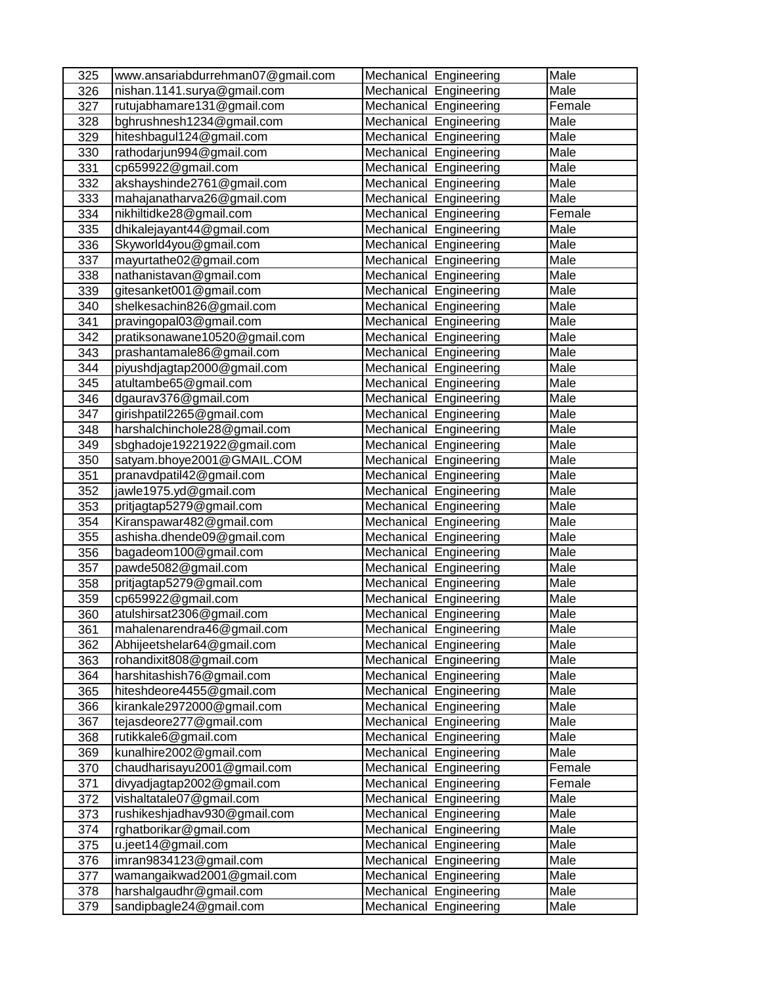| 325        | www.ansariabdurrehman07@gmail.com                      | Mechanical Engineering                           | Male         |
|------------|--------------------------------------------------------|--------------------------------------------------|--------------|
| 326        | nishan.1141.surya@gmail.com                            | Mechanical Engineering                           | Male         |
| 327        | rutujabhamare131@gmail.com                             | Mechanical Engineering                           | Female       |
| 328        | bghrushnesh1234@gmail.com                              | Mechanical Engineering                           | Male         |
| 329        | hiteshbagul124@gmail.com                               | Mechanical Engineering                           | Male         |
| 330        | rathodarjun994@gmail.com                               | Mechanical<br>Engineering                        | Male         |
| 331        | cp659922@gmail.com                                     | Mechanical<br>Engineering                        | Male         |
| 332        | akshayshinde2761@gmail.com                             | Mechanical<br>Engineering                        | Male         |
| 333        | mahajanatharva26@gmail.com                             | Mechanical<br>Engineering                        | Male         |
| 334        | nikhiltidke28@gmail.com                                | Mechanical<br>Engineering                        | Female       |
| 335        | dhikalejayant44@gmail.com                              | Mechanical Engineering                           | Male         |
| 336        | Skyworld4you@gmail.com                                 | Mechanical Engineering                           | Male         |
| 337        | mayurtathe02@gmail.com                                 | Mechanical Engineering                           | Male         |
| 338        | nathanistavan@gmail.com                                | Mechanical Engineering                           | Male         |
| 339        | gitesanket001@gmail.com                                | Mechanical Engineering                           | Male         |
| 340        | shelkesachin826@gmail.com                              | Mechanical Engineering                           | Male         |
| 341        | pravingopal03@gmail.com                                | Mechanical Engineering                           | Male         |
| 342        | pratiksonawane10520@gmail.com                          | Mechanical Engineering                           | Male         |
| 343        | prashantamale86@gmail.com                              | Mechanical Engineering                           | Male         |
| 344        | piyushdjagtap2000@gmail.com                            | Mechanical Engineering                           | Male         |
| 345        | atultambe65@gmail.com                                  | Mechanical Engineering                           | Male         |
| 346        | dgaurav376@gmail.com                                   | Mechanical Engineering                           | Male         |
| 347        | girishpatil2265@gmail.com                              | Mechanical Engineering                           | Male         |
| 348        | harshalchinchole28@gmail.com                           | Mechanical Engineering                           | Male         |
| 349        | sbghadoje19221922@gmail.com                            | Mechanical Engineering                           | Male         |
| 350        | satyam.bhoye2001@GMAIL.COM                             | Mechanical Engineering                           | Male         |
| 351        | pranavdpatil42@gmail.com                               | Mechanical Engineering                           | Male         |
| 352        | jawle1975.yd@gmail.com                                 | Mechanical Engineering                           | Male         |
| 353        | pritjagtap5279@gmail.com                               | Mechanical Engineering                           | Male         |
| 354        | Kiranspawar482@gmail.com                               | Mechanical Engineering                           | Male         |
| 355        | ashisha.dhende09@gmail.com                             | Mechanical Engineering                           | Male         |
| 356        | bagadeom100@gmail.com                                  | Mechanical Engineering                           | Male         |
| 357        | pawde5082@gmail.com                                    | Mechanical Engineering                           | Male         |
| 358        | pritjagtap5279@gmail.com                               | Mechanical Engineering                           | Male         |
| 359        | cp659922@gmail.com                                     | Mechanical Engineering                           | Male         |
| 360        | atulshirsat2306@gmail.com                              | Mechanical Engineering                           | Male<br>Male |
| 361        | mahalenarendra46@gmail.com                             | <b>Mechanical Engineering</b>                    |              |
| 362        | Abhijeetshelar64@gmail.com                             | Mechanical Engineering                           | Male         |
| 363        | rohandixit808@gmail.com                                | Mechanical Engineering                           | Male<br>Male |
| 364<br>365 | harshitashish76@gmail.com<br>hiteshdeore4455@gmail.com | Mechanical Engineering<br>Mechanical Engineering | Male         |
| 366        | kirankale2972000@gmail.com                             | Mechanical Engineering                           | Male         |
| 367        | tejasdeore277@gmail.com                                | Mechanical<br>Engineering                        | Male         |
| 368        | rutikkale6@gmail.com                                   | Mechanical<br>Engineering                        | Male         |
| 369        | kunalhire2002@gmail.com                                | Mechanical<br>Engineering                        | Male         |
| 370        | chaudharisayu2001@gmail.com                            | Mechanical Engineering                           | Female       |
| 371        | divyadjagtap2002@gmail.com                             | Mechanical<br>Engineering                        | Female       |
| 372        | vishaltatale07@gmail.com                               | Mechanical<br>Engineering                        | Male         |
| 373        | rushikeshjadhav930@gmail.com                           | Mechanical Engineering                           | Male         |
| 374        | rghatborikar@gmail.com                                 | Mechanical Engineering                           | Male         |
| 375        | u.jeet14@gmail.com                                     | Mechanical Engineering                           | Male         |
| 376        | imran9834123@gmail.com                                 | Mechanical Engineering                           | Male         |
| 377        | wamangaikwad2001@gmail.com                             | Mechanical Engineering                           | Male         |
| 378        | harshalgaudhr@gmail.com                                | Mechanical Engineering                           | Male         |
| 379        | sandipbagle24@gmail.com                                | Mechanical Engineering                           | Male         |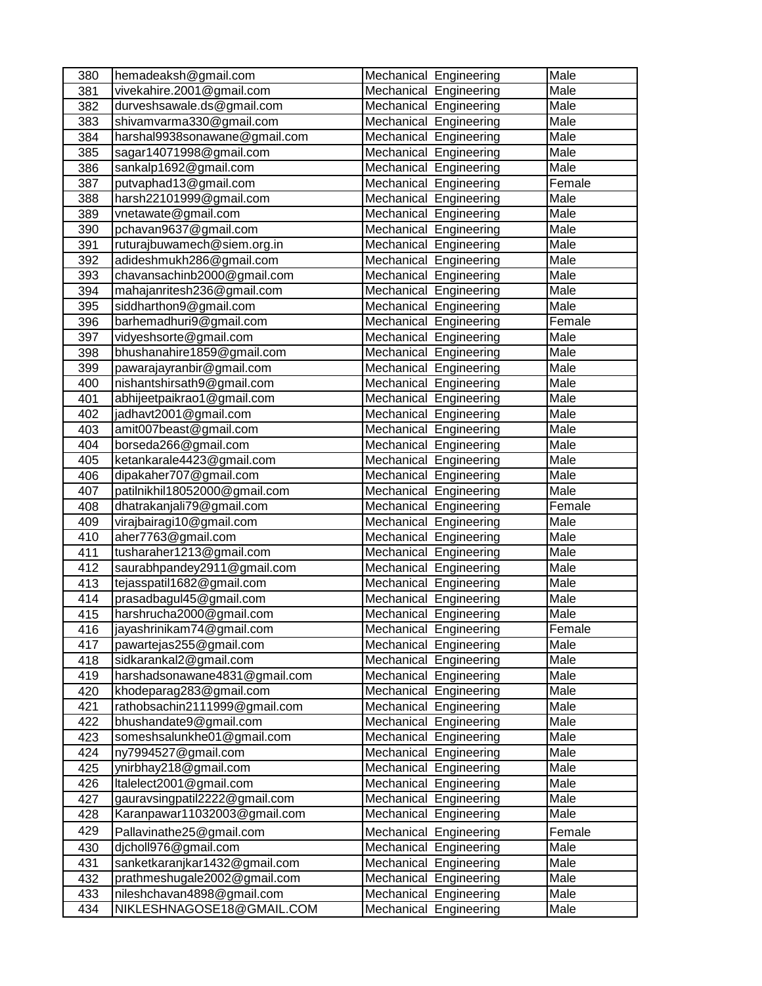| 380 | hemadeaksh@gmail.com          | Mechanical Engineering    | Male        |
|-----|-------------------------------|---------------------------|-------------|
| 381 | vivekahire.2001@gmail.com     | Mechanical Engineering    | Male        |
| 382 | durveshsawale.ds@gmail.com    | Mechanical Engineering    | Male        |
| 383 | shivamvarma330@gmail.com      | Mechanical Engineering    | Male        |
| 384 | harshal9938sonawane@gmail.com | Mechanical Engineering    | Male        |
| 385 | sagar14071998@gmail.com       | Mechanical<br>Engineering | <b>Male</b> |
| 386 | sankalp1692@gmail.com         | Mechanical<br>Engineering | Male        |
| 387 | putvaphad13@gmail.com         | Mechanical<br>Engineering | Female      |
| 388 | harsh22101999@gmail.com       | Mechanical Engineering    | Male        |
| 389 | vnetawate@gmail.com           | Mechanical<br>Engineering | Male        |
| 390 | pchavan9637@gmail.com         | Mechanical Engineering    | Male        |
| 391 | ruturajbuwamech@siem.org.in   | Mechanical Engineering    | Male        |
| 392 | adideshmukh286@gmail.com      | Mechanical Engineering    | Male        |
| 393 | chavansachinb2000@gmail.com   | Mechanical Engineering    | Male        |
| 394 | mahajanritesh236@gmail.com    | Mechanical Engineering    | Male        |
| 395 | siddharthon9@gmail.com        | Mechanical Engineering    | Male        |
| 396 | barhemadhuri9@gmail.com       | Mechanical Engineering    | Female      |
| 397 | vidyeshsorte@gmail.com        | Mechanical Engineering    | Male        |
| 398 | bhushanahire1859@gmail.com    | Mechanical Engineering    | Male        |
| 399 | pawarajayranbir@gmail.com     | Mechanical Engineering    | Male        |
| 400 | nishantshirsath9@gmail.com    | Mechanical Engineering    | Male        |
| 401 | abhijeetpaikrao1@gmail.com    | Mechanical Engineering    | Male        |
| 402 | jadhavt2001@gmail.com         | Mechanical Engineering    | Male        |
| 403 | amit007beast@gmail.com        | Mechanical Engineering    | Male        |
| 404 | borseda266@gmail.com          | Mechanical Engineering    | Male        |
| 405 | ketankarale4423@gmail.com     | Mechanical Engineering    | Male        |
| 406 | dipakaher707@gmail.com        | Mechanical Engineering    | Male        |
| 407 | patilnikhil18052000@gmail.com | Mechanical Engineering    | Male        |
| 408 | dhatrakanjali79@gmail.com     | Mechanical Engineering    | Female      |
| 409 | virajbairagi10@gmail.com      | Mechanical Engineering    | Male        |
| 410 | aher7763@gmail.com            | Mechanical Engineering    | Male        |
| 411 | tusharaher1213@gmail.com      | Mechanical Engineering    | Male        |
| 412 | saurabhpandey2911@gmail.com   | Mechanical Engineering    | Male        |
| 413 | tejasspatil1682@gmail.com     | Mechanical Engineering    | Male        |
| 414 | prasadbagul45@gmail.com       | Mechanical Engineering    | Male        |
| 415 | harshrucha2000@gmail.com      | Mechanical Engineering    | Male        |
| 416 | jayashrinikam74@gmail.com     | Mechanical Engineering    | Female      |
| 417 | pawartejas255@gmail.com       | Mechanical Engineering    | Male        |
| 418 | sidkarankal2@gmail.com        | Mechanical Engineering    | Male        |
| 419 | harshadsonawane4831@gmail.com | Mechanical Engineering    | Male        |
| 420 | khodeparag283@gmail.com       | Mechanical Engineering    | Male        |
| 421 | rathobsachin2111999@gmail.com | Mechanical Engineering    | Male        |
| 422 | bhushandate9@gmail.com        | Mechanical<br>Engineering | Male        |
| 423 | someshsalunkhe01@gmail.com    | Mechanical<br>Engineering | Male        |
| 424 | ny7994527@gmail.com           | Mechanical<br>Engineering | Male        |
| 425 | ynirbhay218@gmail.com         | Mechanical<br>Engineering | Male        |
| 426 | Italelect2001@gmail.com       | Mechanical<br>Engineering | Male        |
| 427 | gauravsingpatil2222@gmail.com | Mechanical<br>Engineering | Male        |
| 428 | Karanpawar11032003@gmail.com  | Mechanical Engineering    | Male        |
| 429 | Pallavinathe25@gmail.com      | Mechanical Engineering    | Female      |
| 430 | dicholl976@gmail.com          | Mechanical<br>Engineering | Male        |
| 431 | sanketkaranjkar1432@gmail.com | Mechanical<br>Engineering | Male        |
| 432 | prathmeshugale2002@gmail.com  | Mechanical<br>Engineering | Male        |
| 433 | nileshchavan4898@gmail.com    | Mechanical<br>Engineering | Male        |
| 434 | NIKLESHNAGOSE18@GMAIL.COM     | Mechanical<br>Engineering | Male        |